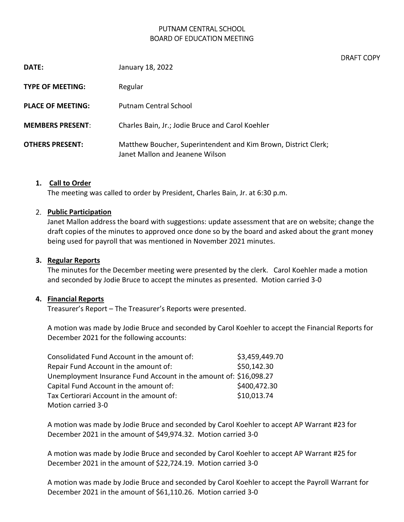# PUTNAM CENTRAL SCHOOL BOARD OF EDUCATION MEETING

DRAFT COPY

| DATE:                    | January 18, 2022                                                                                  |
|--------------------------|---------------------------------------------------------------------------------------------------|
| <b>TYPE OF MEETING:</b>  | Regular                                                                                           |
| <b>PLACE OF MEETING:</b> | Putnam Central School                                                                             |
| <b>MEMBERS PRESENT:</b>  | Charles Bain, Jr.; Jodie Bruce and Carol Koehler                                                  |
| <b>OTHERS PRESENT:</b>   | Matthew Boucher, Superintendent and Kim Brown, District Clerk;<br>Janet Mallon and Jeanene Wilson |

# 1. Call to Order

The meeting was called to order by President, Charles Bain, Jr. at 6:30 p.m.

#### 2. Public Participation

Janet Mallon address the board with suggestions: update assessment that are on website; change the draft copies of the minutes to approved once done so by the board and asked about the grant money being used for payroll that was mentioned in November 2021 minutes.

### 3. Regular Reports

The minutes for the December meeting were presented by the clerk. Carol Koehler made a motion and seconded by Jodie Bruce to accept the minutes as presented. Motion carried 3-0

#### 4. Financial Reports

Treasurer's Report – The Treasurer's Reports were presented.

A motion was made by Jodie Bruce and seconded by Carol Koehler to accept the Financial Reports for December 2021 for the following accounts:

| Consolidated Fund Account in the amount of:                       | \$3,459,449.70 |
|-------------------------------------------------------------------|----------------|
| Repair Fund Account in the amount of:                             | \$50,142.30    |
| Unemployment Insurance Fund Account in the amount of: \$16,098.27 |                |
| Capital Fund Account in the amount of:                            | \$400,472.30   |
| Tax Certiorari Account in the amount of:                          | \$10,013.74    |
| Motion carried 3-0                                                |                |

A motion was made by Jodie Bruce and seconded by Carol Koehler to accept AP Warrant #23 for December 2021 in the amount of \$49,974.32. Motion carried 3-0

A motion was made by Jodie Bruce and seconded by Carol Koehler to accept AP Warrant #25 for December 2021 in the amount of \$22,724.19. Motion carried 3-0

A motion was made by Jodie Bruce and seconded by Carol Koehler to accept the Payroll Warrant for December 2021 in the amount of \$61,110.26. Motion carried 3-0